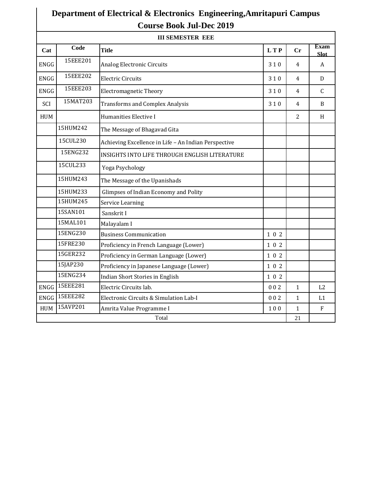## **Department of Electrical & Electronics Engineering,Amritapuri Campus Course Book Jul-Dec 2019**

| <b>III SEMESTER EEE</b> |          |                                                      |            |                |                            |  |  |
|-------------------------|----------|------------------------------------------------------|------------|----------------|----------------------------|--|--|
| Cat                     | Code     | <b>Title</b>                                         | <b>LTP</b> | Cr             | <b>Exam</b><br><b>Slot</b> |  |  |
| <b>ENGG</b>             | 15EEE201 | Analog Electronic Circuits                           | 310        | 4              | A                          |  |  |
| <b>ENGG</b>             | 15EEE202 | <b>Electric Circuits</b>                             | 310        | $\overline{4}$ | $\mathbf{D}$               |  |  |
| <b>ENGG</b>             | 15EEE203 | <b>Electromagnetic Theory</b>                        | 310        | 4              | $\mathsf{C}$               |  |  |
| SCI                     | 15MAT203 | <b>Transforms and Complex Analysis</b>               | 310        | $\overline{4}$ | B                          |  |  |
| <b>HUM</b>              |          | Humanities Elective I                                |            | $\overline{2}$ | H                          |  |  |
|                         | 15HUM242 | The Message of Bhagavad Gita                         |            |                |                            |  |  |
|                         | 15CUL230 | Achieving Excellence in Life - An Indian Perspective |            |                |                            |  |  |
|                         | 15ENG232 | INSIGHTS INTO LIFE THROUGH ENGLISH LITERATURE        |            |                |                            |  |  |
|                         | 15CUL233 | Yoga Psychology                                      |            |                |                            |  |  |
|                         | 15HUM243 | The Message of the Upanishads                        |            |                |                            |  |  |
|                         | 15HUM233 | Glimpses of Indian Economy and Polity                |            |                |                            |  |  |
|                         | 15HUM245 | Service Learning                                     |            |                |                            |  |  |
|                         | 15SAN101 | Sanskrit I                                           |            |                |                            |  |  |
|                         | 15MAL101 | Malayalam I                                          |            |                |                            |  |  |
|                         | 15ENG230 | <b>Business Communication</b>                        | 102        |                |                            |  |  |
|                         | 15FRE230 | Proficiency in French Language (Lower)               | 102        |                |                            |  |  |
|                         | 15GER232 | Proficiency in German Language (Lower)               | 102        |                |                            |  |  |
|                         | 15JAP230 | Proficiency in Japanese Language (Lower)             | 102        |                |                            |  |  |
|                         | 15ENG234 | Indian Short Stories in English                      | 102        |                |                            |  |  |
| <b>ENGG</b>             | 15EEE281 | Electric Circuits lab.                               | 002        | $\mathbf{1}$   | L2                         |  |  |
| <b>ENGG</b>             | 15EEE282 | Electronic Circuits & Simulation Lab-I               | 002        | $\mathbf{1}$   | L1                         |  |  |
| <b>HUM</b>              | 15AVP201 | Amrita Value Programme I                             | 100        | $\mathbf{1}$   | F                          |  |  |
| Total                   |          |                                                      |            | 21             |                            |  |  |